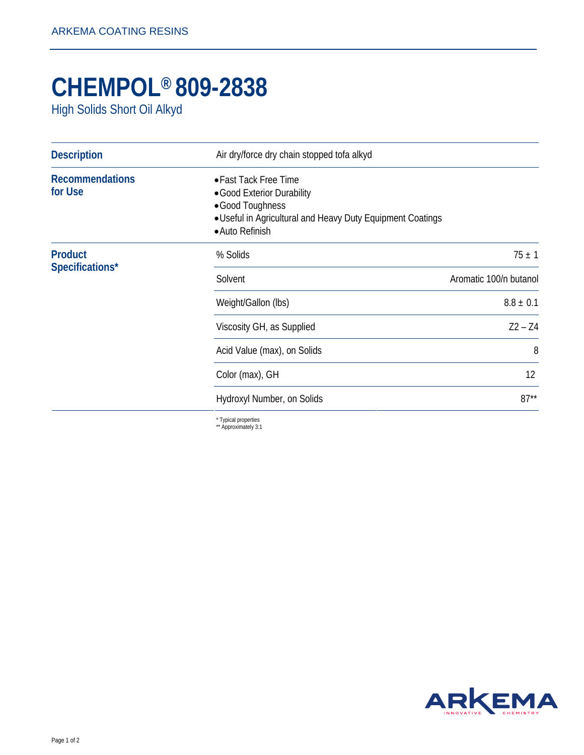## **CHEMPOL® 809-2838**

High Solids Short Oil Alkyd

| <b>Description</b>                | Air dry/force dry chain stopped tofa alkyd                                                                                                              |                        |
|-----------------------------------|---------------------------------------------------------------------------------------------------------------------------------------------------------|------------------------|
| <b>Recommendations</b><br>for Use | • Fast Tack Free Time<br>• Good Exterior Durability<br>•Good Toughness<br>. Useful in Agricultural and Heavy Duty Equipment Coatings<br>• Auto Refinish |                        |
| <b>Product</b><br>Specifications* | % Solids                                                                                                                                                | $75 \pm 1$             |
|                                   | Solvent                                                                                                                                                 | Aromatic 100/n butanol |
|                                   | Weight/Gallon (lbs)                                                                                                                                     | $8.8 \pm 0.1$          |
|                                   | Viscosity GH, as Supplied                                                                                                                               | $Z^2 - Z^4$            |
|                                   | Acid Value (max), on Solids                                                                                                                             | 8                      |
|                                   | Color (max), GH                                                                                                                                         | 12                     |
|                                   | Hydroxyl Number, on Solids                                                                                                                              | $87**$                 |
|                                   | * Tynical properties                                                                                                                                    |                        |

\* Typical properties \*\* Approximately 3:1